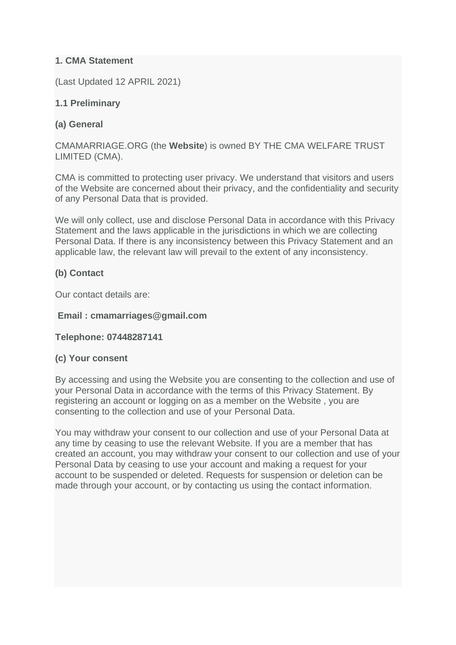## **1. CMA Statement**

(Last Updated 12 APRIL 2021)

## **1.1 Preliminary**

# **(a) General**

CMAMARRIAGE.ORG (the **Website**) is owned BY THE CMA WELFARE TRUST LIMITED (CMA).

CMA is committed to protecting user privacy. We understand that visitors and users of the Website are concerned about their privacy, and the confidentiality and security of any Personal Data that is provided.

We will only collect, use and disclose Personal Data in accordance with this Privacy Statement and the laws applicable in the jurisdictions in which we are collecting Personal Data. If there is any inconsistency between this Privacy Statement and an applicable law, the relevant law will prevail to the extent of any inconsistency.

# **(b) Contact**

Our contact details are:

#### **Email : cmamarriages@gmail.com**

**Telephone: 07448287141**

### **(c) Your consent**

By accessing and using the Website you are consenting to the collection and use of your Personal Data in accordance with the terms of this Privacy Statement. By registering an account or logging on as a member on the Website , you are consenting to the collection and use of your Personal Data.

You may withdraw your consent to our collection and use of your Personal Data at any time by ceasing to use the relevant Website. If you are a member that has created an account, you may withdraw your consent to our collection and use of your Personal Data by ceasing to use your account and making a request for your account to be suspended or deleted. Requests for suspension or deletion can be made through your account, or by contacting us using the contact information.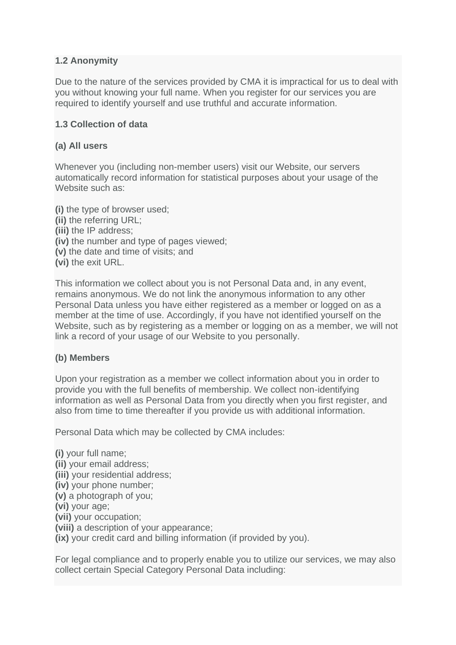### **1.2 Anonymity**

Due to the nature of the services provided by CMA it is impractical for us to deal with you without knowing your full name. When you register for our services you are required to identify yourself and use truthful and accurate information.

### **1.3 Collection of data**

#### **(a) All users**

Whenever you (including non-member users) visit our Website, our servers automatically record information for statistical purposes about your usage of the Website such as:

**(i)** the type of browser used; **(ii)** the referring URL; **(iii)** the IP address; **(iv)** the number and type of pages viewed; **(v)** the date and time of visits; and **(vi)** the exit URL.

This information we collect about you is not Personal Data and, in any event, remains anonymous. We do not link the anonymous information to any other Personal Data unless you have either registered as a member or logged on as a member at the time of use. Accordingly, if you have not identified yourself on the Website, such as by registering as a member or logging on as a member, we will not link a record of your usage of our Website to you personally.

#### **(b) Members**

Upon your registration as a member we collect information about you in order to provide you with the full benefits of membership. We collect non-identifying information as well as Personal Data from you directly when you first register, and also from time to time thereafter if you provide us with additional information.

Personal Data which may be collected by CMA includes:

**(i)** your full name; **(ii)** your email address; **(iii)** your residential address; **(iv)** your phone number; **(v)** a photograph of you; **(vi)** your age; **(vii)** your occupation; **(viii)** a description of your appearance; **(ix)** your credit card and billing information (if provided by you).

For legal compliance and to properly enable you to utilize our services, we may also collect certain Special Category Personal Data including: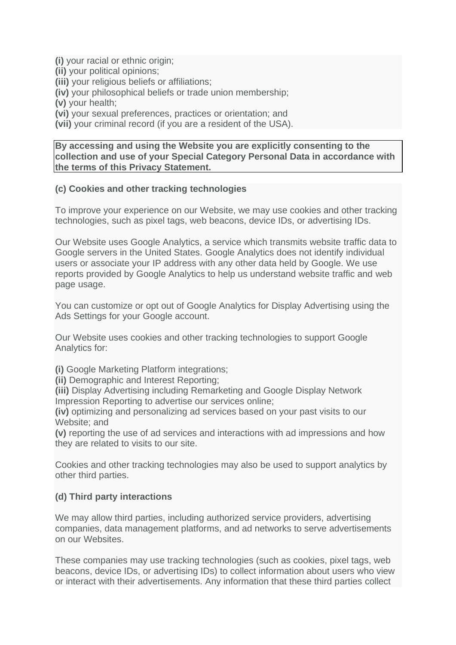**(i)** your racial or ethnic origin;

**(ii)** your political opinions;

**(iii)** your religious beliefs or affiliations;

**(iv)** your philosophical beliefs or trade union membership;

**(v)** your health;

**(vi)** your sexual preferences, practices or orientation; and

**(vii)** your criminal record (if you are a resident of the USA).

**By accessing and using the Website you are explicitly consenting to the collection and use of your Special Category Personal Data in accordance with the terms of this Privacy Statement.**

#### **(c) Cookies and other tracking technologies**

To improve your experience on our Website, we may use cookies and other tracking technologies, such as pixel tags, web beacons, device IDs, or advertising IDs.

Our Website uses Google Analytics, a service which transmits website traffic data to Google servers in the United States. Google Analytics does not identify individual users or associate your IP address with any other data held by Google. We use reports provided by Google Analytics to help us understand website traffic and web page usage.

You can customize or opt out of Google Analytics for Display Advertising using the Ads Settings for your Google account.

Our Website uses cookies and other tracking technologies to support Google Analytics for:

**(i)** Google Marketing Platform integrations;

**(ii)** Demographic and Interest Reporting;

**(iii)** Display Advertising including Remarketing and Google Display Network Impression Reporting to advertise our services online;

**(iv)** optimizing and personalizing ad services based on your past visits to our Website; and

**(v)** reporting the use of ad services and interactions with ad impressions and how they are related to visits to our site.

Cookies and other tracking technologies may also be used to support analytics by other third parties.

### **(d) Third party interactions**

We may allow third parties, including authorized service providers, advertising companies, data management platforms, and ad networks to serve advertisements on our Websites.

These companies may use tracking technologies (such as cookies, pixel tags, web beacons, device IDs, or advertising IDs) to collect information about users who view or interact with their advertisements. Any information that these third parties collect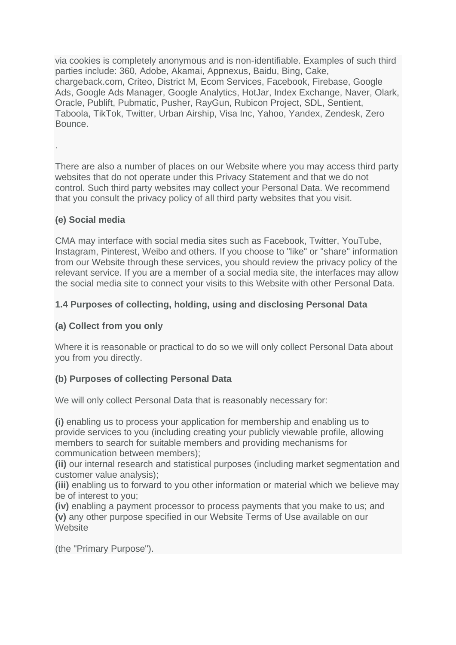via cookies is completely anonymous and is non-identifiable. Examples of such third parties include: 360, Adobe, Akamai, Appnexus, Baidu, Bing, Cake, chargeback.com, Criteo, District M, Ecom Services, Facebook, Firebase, Google Ads, Google Ads Manager, Google Analytics, HotJar, Index Exchange, Naver, Olark, Oracle, Publift, Pubmatic, Pusher, RayGun, Rubicon Project, SDL, Sentient, Taboola, TikTok, Twitter, Urban Airship, Visa Inc, Yahoo, Yandex, Zendesk, Zero **Bounce** 

There are also a number of places on our Website where you may access third party websites that do not operate under this Privacy Statement and that we do not control. Such third party websites may collect your Personal Data. We recommend that you consult the privacy policy of all third party websites that you visit.

### **(e) Social media**

.

CMA may interface with social media sites such as Facebook, Twitter, YouTube, Instagram, Pinterest, Weibo and others. If you choose to "like" or "share" information from our Website through these services, you should review the privacy policy of the relevant service. If you are a member of a social media site, the interfaces may allow the social media site to connect your visits to this Website with other Personal Data.

# **1.4 Purposes of collecting, holding, using and disclosing Personal Data**

# **(a) Collect from you only**

Where it is reasonable or practical to do so we will only collect Personal Data about you from you directly.

### **(b) Purposes of collecting Personal Data**

We will only collect Personal Data that is reasonably necessary for:

**(i)** enabling us to process your application for membership and enabling us to provide services to you (including creating your publicly viewable profile, allowing members to search for suitable members and providing mechanisms for communication between members);

**(ii)** our internal research and statistical purposes (including market segmentation and customer value analysis);

**(iii)** enabling us to forward to you other information or material which we believe may be of interest to you;

**(iv)** enabling a payment processor to process payments that you make to us; and **(v)** any other purpose specified in our Website Terms of Use available on our **Website** 

(the "Primary Purpose").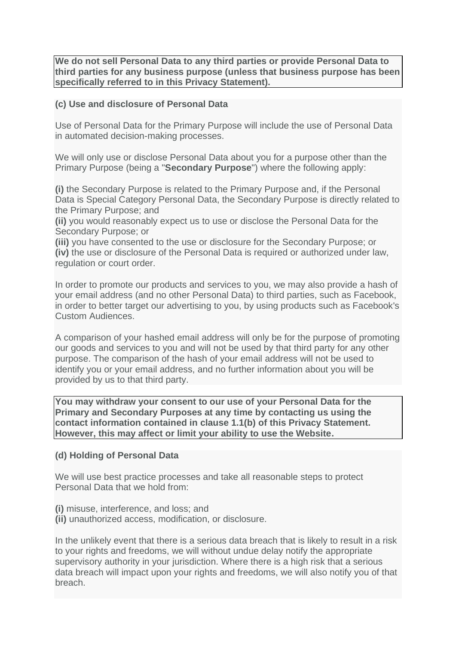**We do not sell Personal Data to any third parties or provide Personal Data to third parties for any business purpose (unless that business purpose has been specifically referred to in this Privacy Statement).**

#### **(c) Use and disclosure of Personal Data**

Use of Personal Data for the Primary Purpose will include the use of Personal Data in automated decision-making processes.

We will only use or disclose Personal Data about you for a purpose other than the Primary Purpose (being a "**Secondary Purpose**") where the following apply:

**(i)** the Secondary Purpose is related to the Primary Purpose and, if the Personal Data is Special Category Personal Data, the Secondary Purpose is directly related to the Primary Purpose; and

**(ii)** you would reasonably expect us to use or disclose the Personal Data for the Secondary Purpose; or

**(iii)** you have consented to the use or disclosure for the Secondary Purpose; or **(iv)** the use or disclosure of the Personal Data is required or authorized under law, regulation or court order.

In order to promote our products and services to you, we may also provide a hash of your email address (and no other Personal Data) to third parties, such as Facebook, in order to better target our advertising to you, by using products such as Facebook's Custom Audiences.

A comparison of your hashed email address will only be for the purpose of promoting our goods and services to you and will not be used by that third party for any other purpose. The comparison of the hash of your email address will not be used to identify you or your email address, and no further information about you will be provided by us to that third party.

**You may withdraw your consent to our use of your Personal Data for the Primary and Secondary Purposes at any time by contacting us using the contact information contained in clause 1.1(b) of this Privacy Statement. However, this may affect or limit your ability to use the Website.**

#### **(d) Holding of Personal Data**

We will use best practice processes and take all reasonable steps to protect Personal Data that we hold from:

- **(i)** misuse, interference, and loss; and
- **(ii)** unauthorized access, modification, or disclosure.

In the unlikely event that there is a serious data breach that is likely to result in a risk to your rights and freedoms, we will without undue delay notify the appropriate supervisory authority in your jurisdiction. Where there is a high risk that a serious data breach will impact upon your rights and freedoms, we will also notify you of that breach.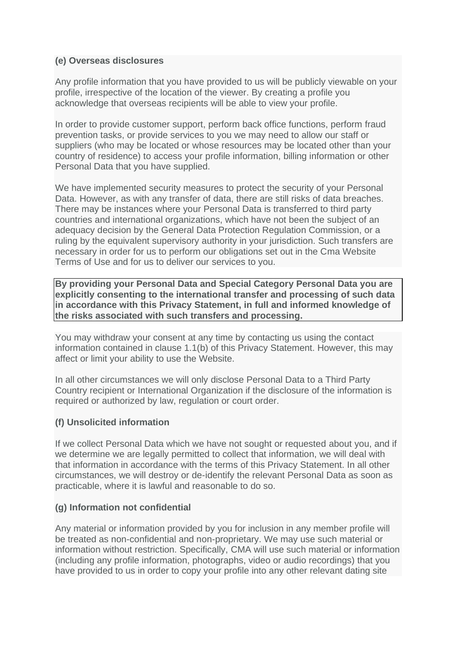#### **(e) Overseas disclosures**

Any profile information that you have provided to us will be publicly viewable on your profile, irrespective of the location of the viewer. By creating a profile you acknowledge that overseas recipients will be able to view your profile.

In order to provide customer support, perform back office functions, perform fraud prevention tasks, or provide services to you we may need to allow our staff or suppliers (who may be located or whose resources may be located other than your country of residence) to access your profile information, billing information or other Personal Data that you have supplied.

We have implemented security measures to protect the security of your Personal Data. However, as with any transfer of data, there are still risks of data breaches. There may be instances where your Personal Data is transferred to third party countries and international organizations, which have not been the subject of an adequacy decision by the General Data Protection Regulation Commission, or a ruling by the equivalent supervisory authority in your jurisdiction. Such transfers are necessary in order for us to perform our obligations set out in the Cma Website Terms of Use and for us to deliver our services to you.

**By providing your Personal Data and Special Category Personal Data you are explicitly consenting to the international transfer and processing of such data in accordance with this Privacy Statement, in full and informed knowledge of the risks associated with such transfers and processing.**

You may withdraw your consent at any time by contacting us using the contact information contained in clause 1.1(b) of this Privacy Statement. However, this may affect or limit your ability to use the Website.

In all other circumstances we will only disclose Personal Data to a Third Party Country recipient or International Organization if the disclosure of the information is required or authorized by law, regulation or court order.

### **(f) Unsolicited information**

If we collect Personal Data which we have not sought or requested about you, and if we determine we are legally permitted to collect that information, we will deal with that information in accordance with the terms of this Privacy Statement. In all other circumstances, we will destroy or de-identify the relevant Personal Data as soon as practicable, where it is lawful and reasonable to do so.

### **(g) Information not confidential**

Any material or information provided by you for inclusion in any member profile will be treated as non-confidential and non-proprietary. We may use such material or information without restriction. Specifically, CMA will use such material or information (including any profile information, photographs, video or audio recordings) that you have provided to us in order to copy your profile into any other relevant dating site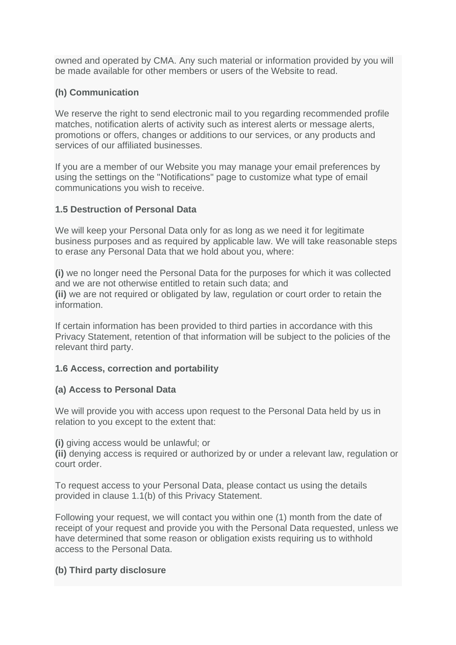owned and operated by CMA. Any such material or information provided by you will be made available for other members or users of the Website to read.

## **(h) Communication**

We reserve the right to send electronic mail to you regarding recommended profile matches, notification alerts of activity such as interest alerts or message alerts, promotions or offers, changes or additions to our services, or any products and services of our affiliated businesses.

If you are a member of our Website you may manage your email preferences by using the settings on the "Notifications" page to customize what type of email communications you wish to receive.

#### **1.5 Destruction of Personal Data**

We will keep your Personal Data only for as long as we need it for legitimate business purposes and as required by applicable law. We will take reasonable steps to erase any Personal Data that we hold about you, where:

**(i)** we no longer need the Personal Data for the purposes for which it was collected and we are not otherwise entitled to retain such data; and **(ii)** we are not required or obligated by law, regulation or court order to retain the information.

If certain information has been provided to third parties in accordance with this Privacy Statement, retention of that information will be subject to the policies of the relevant third party.

### **1.6 Access, correction and portability**

### **(a) Access to Personal Data**

We will provide you with access upon request to the Personal Data held by us in relation to you except to the extent that:

**(i)** giving access would be unlawful; or

**(ii)** denying access is required or authorized by or under a relevant law, regulation or court order.

To request access to your Personal Data, please contact us using the details provided in clause 1.1(b) of this Privacy Statement.

Following your request, we will contact you within one (1) month from the date of receipt of your request and provide you with the Personal Data requested, unless we have determined that some reason or obligation exists requiring us to withhold access to the Personal Data.

### **(b) Third party disclosure**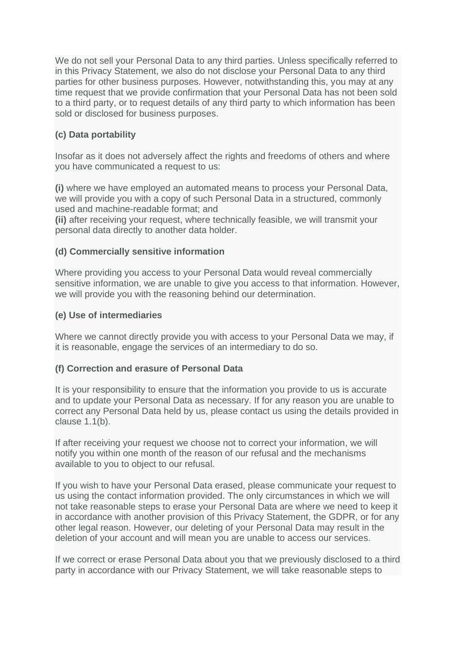We do not sell your Personal Data to any third parties. Unless specifically referred to in this Privacy Statement, we also do not disclose your Personal Data to any third parties for other business purposes. However, notwithstanding this, you may at any time request that we provide confirmation that your Personal Data has not been sold to a third party, or to request details of any third party to which information has been sold or disclosed for business purposes.

# **(c) Data portability**

Insofar as it does not adversely affect the rights and freedoms of others and where you have communicated a request to us:

**(i)** where we have employed an automated means to process your Personal Data, we will provide you with a copy of such Personal Data in a structured, commonly used and machine-readable format; and

**(ii)** after receiving your request, where technically feasible, we will transmit your personal data directly to another data holder.

### **(d) Commercially sensitive information**

Where providing you access to your Personal Data would reveal commercially sensitive information, we are unable to give you access to that information. However, we will provide you with the reasoning behind our determination.

#### **(e) Use of intermediaries**

Where we cannot directly provide you with access to your Personal Data we may, if it is reasonable, engage the services of an intermediary to do so.

#### **(f) Correction and erasure of Personal Data**

It is your responsibility to ensure that the information you provide to us is accurate and to update your Personal Data as necessary. If for any reason you are unable to correct any Personal Data held by us, please contact us using the details provided in clause 1.1(b).

If after receiving your request we choose not to correct your information, we will notify you within one month of the reason of our refusal and the mechanisms available to you to object to our refusal.

If you wish to have your Personal Data erased, please communicate your request to us using the contact information provided. The only circumstances in which we will not take reasonable steps to erase your Personal Data are where we need to keep it in accordance with another provision of this Privacy Statement, the GDPR, or for any other legal reason. However, our deleting of your Personal Data may result in the deletion of your account and will mean you are unable to access our services.

If we correct or erase Personal Data about you that we previously disclosed to a third party in accordance with our Privacy Statement, we will take reasonable steps to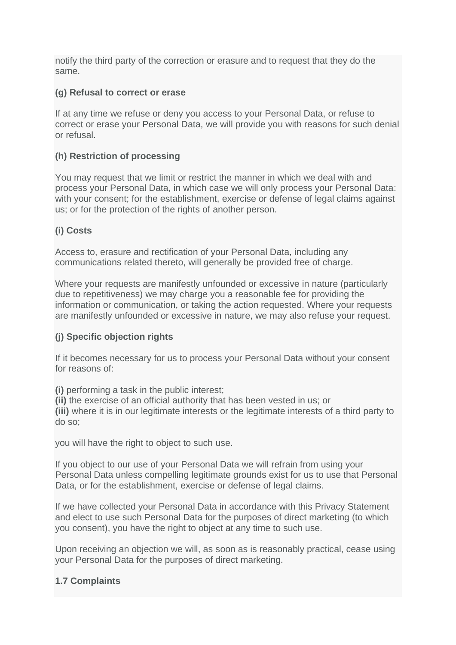notify the third party of the correction or erasure and to request that they do the same.

#### **(g) Refusal to correct or erase**

If at any time we refuse or deny you access to your Personal Data, or refuse to correct or erase your Personal Data, we will provide you with reasons for such denial or refusal.

#### **(h) Restriction of processing**

You may request that we limit or restrict the manner in which we deal with and process your Personal Data, in which case we will only process your Personal Data: with your consent; for the establishment, exercise or defense of legal claims against us; or for the protection of the rights of another person.

### **(i) Costs**

Access to, erasure and rectification of your Personal Data, including any communications related thereto, will generally be provided free of charge.

Where your requests are manifestly unfounded or excessive in nature (particularly due to repetitiveness) we may charge you a reasonable fee for providing the information or communication, or taking the action requested. Where your requests are manifestly unfounded or excessive in nature, we may also refuse your request.

### **(j) Specific objection rights**

If it becomes necessary for us to process your Personal Data without your consent for reasons of:

**(i)** performing a task in the public interest;

**(ii)** the exercise of an official authority that has been vested in us; or **(iii)** where it is in our legitimate interests or the legitimate interests of a third party to do so;

you will have the right to object to such use.

If you object to our use of your Personal Data we will refrain from using your Personal Data unless compelling legitimate grounds exist for us to use that Personal Data, or for the establishment, exercise or defense of legal claims.

If we have collected your Personal Data in accordance with this Privacy Statement and elect to use such Personal Data for the purposes of direct marketing (to which you consent), you have the right to object at any time to such use.

Upon receiving an objection we will, as soon as is reasonably practical, cease using your Personal Data for the purposes of direct marketing.

### **1.7 Complaints**